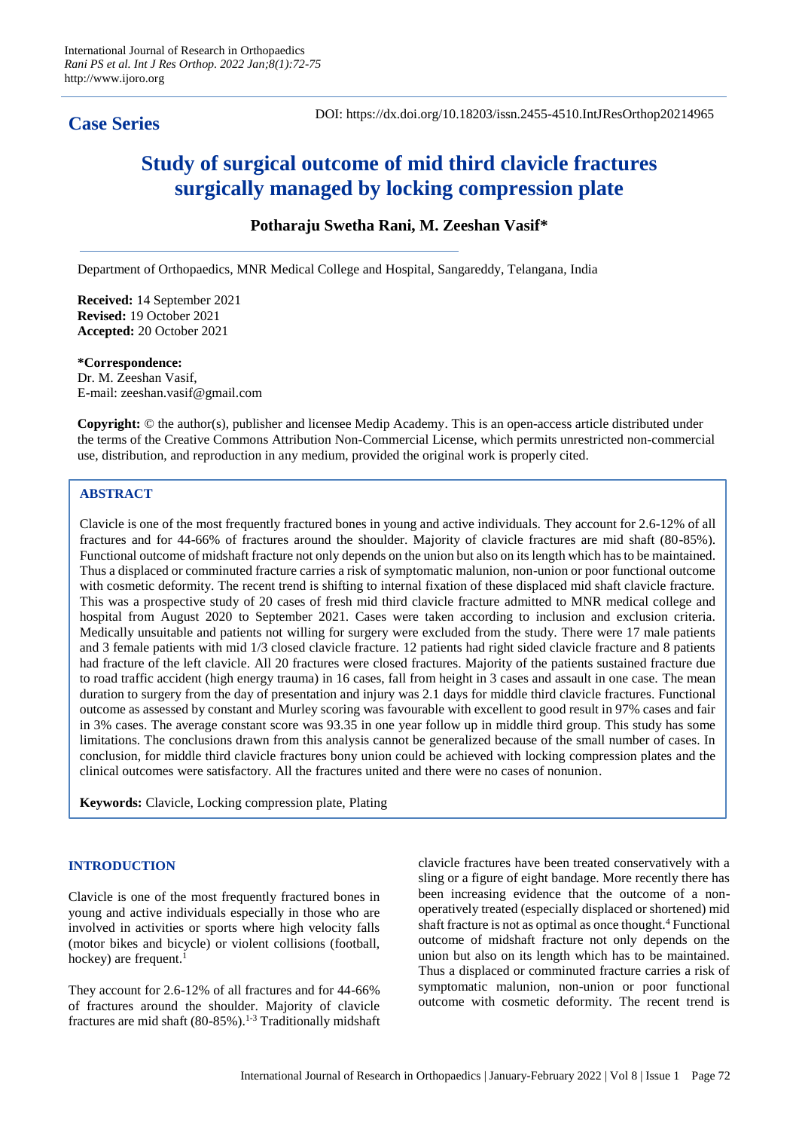# **Case Series**

# **Study of surgical outcome of mid third clavicle fractures surgically managed by locking compression plate**

# **Potharaju Swetha Rani, M. Zeeshan Vasif\***

Department of Orthopaedics, MNR Medical College and Hospital, Sangareddy, Telangana, India

**Received:** 14 September 2021 **Revised:** 19 October 2021 **Accepted:** 20 October 2021

**\*Correspondence:** Dr. M. Zeeshan Vasif, E-mail: zeeshan.vasif@gmail.com

**Copyright:** © the author(s), publisher and licensee Medip Academy. This is an open-access article distributed under the terms of the Creative Commons Attribution Non-Commercial License, which permits unrestricted non-commercial use, distribution, and reproduction in any medium, provided the original work is properly cited.

# **ABSTRACT**

Clavicle is one of the most frequently fractured bones in young and active individuals. They account for 2.6-12% of all fractures and for 44-66% of fractures around the shoulder. Majority of clavicle fractures are mid shaft (80-85%). Functional outcome of midshaft fracture not only depends on the union but also on its length which has to be maintained. Thus a displaced or comminuted fracture carries a risk of symptomatic malunion, non-union or poor functional outcome with cosmetic deformity. The recent trend is shifting to internal fixation of these displaced mid shaft clavicle fracture. This was a prospective study of 20 cases of fresh mid third clavicle fracture admitted to MNR medical college and hospital from August 2020 to September 2021. Cases were taken according to inclusion and exclusion criteria. Medically unsuitable and patients not willing for surgery were excluded from the study. There were 17 male patients and 3 female patients with mid 1/3 closed clavicle fracture. 12 patients had right sided clavicle fracture and 8 patients had fracture of the left clavicle. All 20 fractures were closed fractures. Majority of the patients sustained fracture due to road traffic accident (high energy trauma) in 16 cases, fall from height in 3 cases and assault in one case. The mean duration to surgery from the day of presentation and injury was 2.1 days for middle third clavicle fractures. Functional outcome as assessed by constant and Murley scoring was favourable with excellent to good result in 97% cases and fair in 3% cases. The average constant score was 93.35 in one year follow up in middle third group. This study has some limitations. The conclusions drawn from this analysis cannot be generalized because of the small number of cases. In conclusion, for middle third clavicle fractures bony union could be achieved with locking compression plates and the clinical outcomes were satisfactory. All the fractures united and there were no cases of nonunion.

**Keywords:** Clavicle, Locking compression plate, Plating

# **INTRODUCTION**

Clavicle is one of the most frequently fractured bones in young and active individuals especially in those who are involved in activities or sports where high velocity falls (motor bikes and bicycle) or violent collisions (football, hockey) are frequent.<sup>1</sup>

They account for 2.6-12% of all fractures and for 44-66% of fractures around the shoulder. Majority of clavicle fractures are mid shaft  $(80-85\%)$ .<sup>1-3</sup> Traditionally midshaft clavicle fractures have been treated conservatively with a sling or a figure of eight bandage. More recently there has been increasing evidence that the outcome of a nonoperatively treated (especially displaced or shortened) mid shaft fracture is not as optimal as once thought.<sup>4</sup> Functional outcome of midshaft fracture not only depends on the union but also on its length which has to be maintained. Thus a displaced or comminuted fracture carries a risk of symptomatic malunion, non-union or poor functional outcome with cosmetic deformity. The recent trend is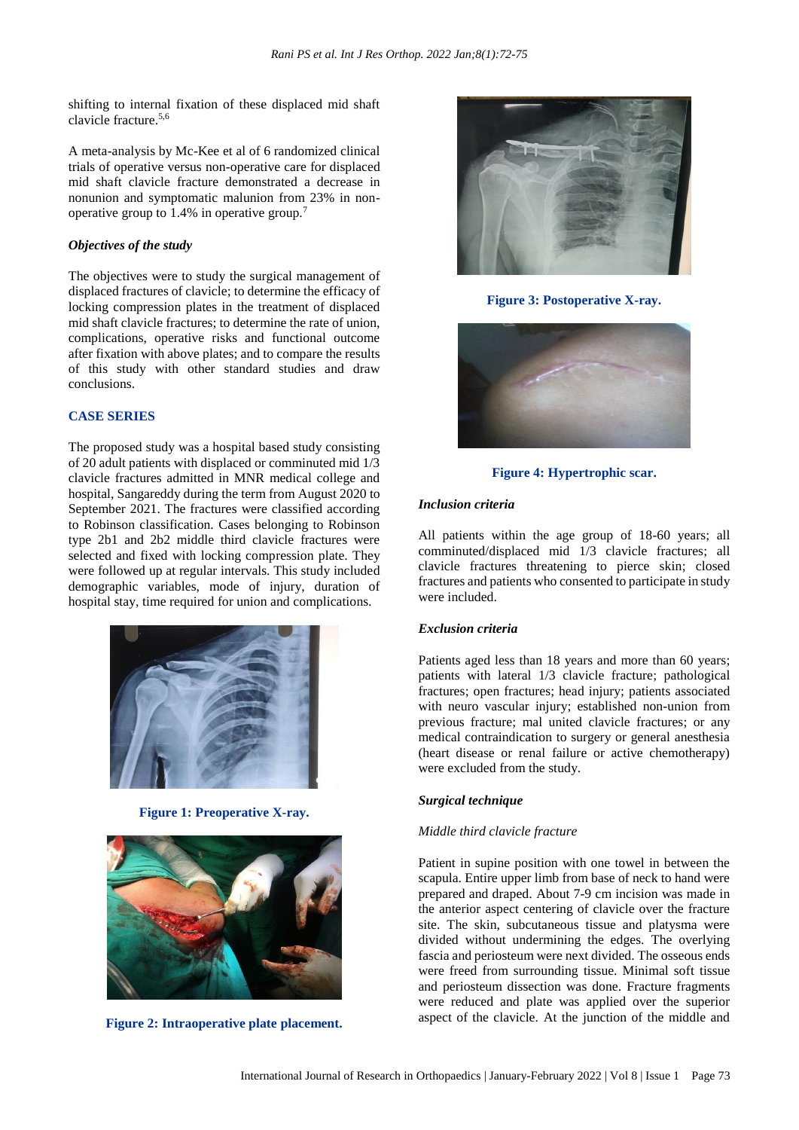shifting to internal fixation of these displaced mid shaft clavicle fracture.5,6

A meta-analysis by Mc-Kee et al of 6 randomized clinical trials of operative versus non-operative care for displaced mid shaft clavicle fracture demonstrated a decrease in nonunion and symptomatic malunion from 23% in nonoperative group to 1.4% in operative group.<sup>7</sup>

## *Objectives of the study*

The objectives were to study the surgical management of displaced fractures of clavicle; to determine the efficacy of locking compression plates in the treatment of displaced mid shaft clavicle fractures; to determine the rate of union, complications, operative risks and functional outcome after fixation with above plates; and to compare the results of this study with other standard studies and draw conclusions.

# **CASE SERIES**

The proposed study was a hospital based study consisting of 20 adult patients with displaced or comminuted mid 1/3 clavicle fractures admitted in MNR medical college and hospital, Sangareddy during the term from August 2020 to September 2021. The fractures were classified according to Robinson classification. Cases belonging to Robinson type 2b1 and 2b2 middle third clavicle fractures were selected and fixed with locking compression plate. They were followed up at regular intervals. This study included demographic variables, mode of injury, duration of hospital stay, time required for union and complications.



**Figure 1: Preoperative X-ray.**



**Figure 2: Intraoperative plate placement.**



**Figure 3: Postoperative X-ray.**



**Figure 4: Hypertrophic scar.**

#### *Inclusion criteria*

All patients within the age group of 18-60 years; all comminuted/displaced mid 1/3 clavicle fractures; all clavicle fractures threatening to pierce skin; closed fractures and patients who consented to participate in study were included.

#### *Exclusion criteria*

Patients aged less than 18 years and more than 60 years; patients with lateral 1/3 clavicle fracture; pathological fractures; open fractures; head injury; patients associated with neuro vascular injury; established non-union from previous fracture; mal united clavicle fractures; or any medical contraindication to surgery or general anesthesia (heart disease or renal failure or active chemotherapy) were excluded from the study.

## *Surgical technique*

#### *Middle third clavicle fracture*

Patient in supine position with one towel in between the scapula. Entire upper limb from base of neck to hand were prepared and draped. About 7-9 cm incision was made in the anterior aspect centering of clavicle over the fracture site. The skin, subcutaneous tissue and platysma were divided without undermining the edges. The overlying fascia and periosteum were next divided. The osseous ends were freed from surrounding tissue. Minimal soft tissue and periosteum dissection was done. Fracture fragments were reduced and plate was applied over the superior aspect of the clavicle. At the junction of the middle and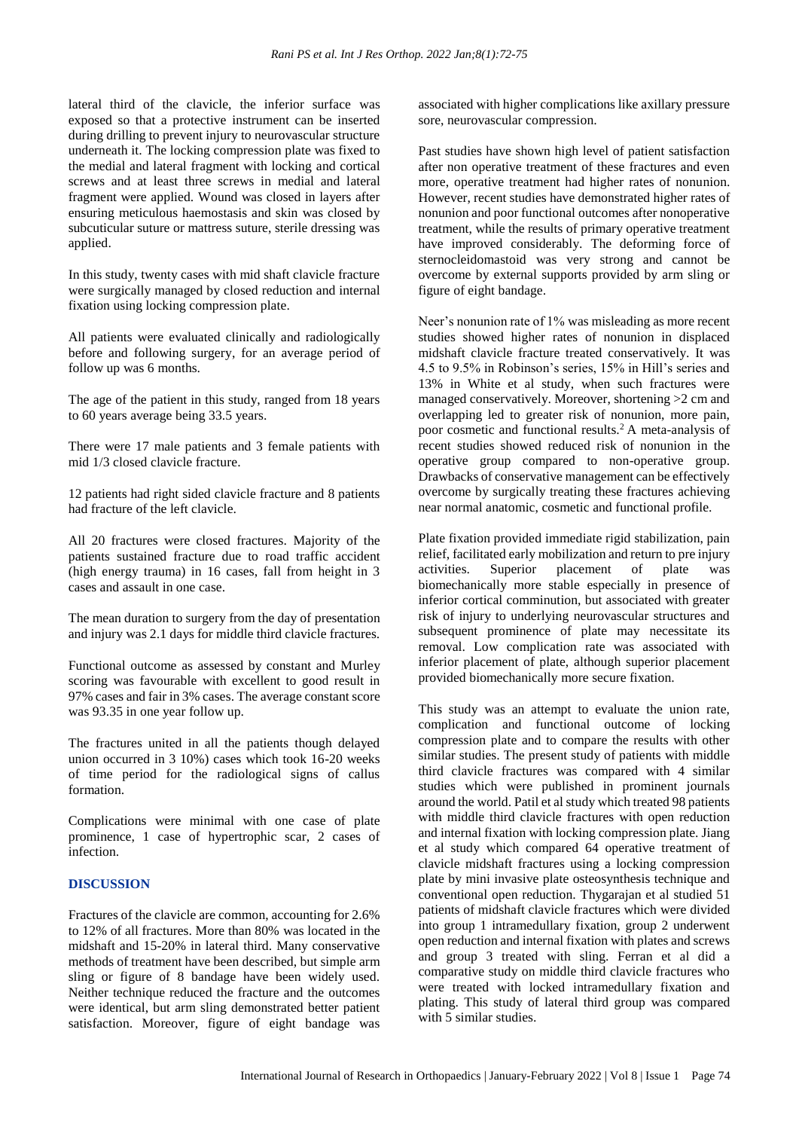lateral third of the clavicle, the inferior surface was exposed so that a protective instrument can be inserted during drilling to prevent injury to neurovascular structure underneath it. The locking compression plate was fixed to the medial and lateral fragment with locking and cortical screws and at least three screws in medial and lateral fragment were applied. Wound was closed in layers after ensuring meticulous haemostasis and skin was closed by subcuticular suture or mattress suture, sterile dressing was applied.

In this study, twenty cases with mid shaft clavicle fracture were surgically managed by closed reduction and internal fixation using locking compression plate.

All patients were evaluated clinically and radiologically before and following surgery, for an average period of follow up was 6 months.

The age of the patient in this study, ranged from 18 years to 60 years average being 33.5 years.

There were 17 male patients and 3 female patients with mid 1/3 closed clavicle fracture.

12 patients had right sided clavicle fracture and 8 patients had fracture of the left clavicle.

All 20 fractures were closed fractures. Majority of the patients sustained fracture due to road traffic accident (high energy trauma) in 16 cases, fall from height in 3 cases and assault in one case.

The mean duration to surgery from the day of presentation and injury was 2.1 days for middle third clavicle fractures.

Functional outcome as assessed by constant and Murley scoring was favourable with excellent to good result in 97% cases and fair in 3% cases. The average constant score was 93.35 in one year follow up.

The fractures united in all the patients though delayed union occurred in 3 10%) cases which took 16-20 weeks of time period for the radiological signs of callus formation.

Complications were minimal with one case of plate prominence, 1 case of hypertrophic scar, 2 cases of infection.

#### **DISCUSSION**

Fractures of the clavicle are common, accounting for 2.6% to 12% of all fractures. More than 80% was located in the midshaft and 15-20% in lateral third. Many conservative methods of treatment have been described, but simple arm sling or figure of 8 bandage have been widely used. Neither technique reduced the fracture and the outcomes were identical, but arm sling demonstrated better patient satisfaction. Moreover, figure of eight bandage was associated with higher complications like axillary pressure sore, neurovascular compression.

Past studies have shown high level of patient satisfaction after non operative treatment of these fractures and even more, operative treatment had higher rates of nonunion. However, recent studies have demonstrated higher rates of nonunion and poor functional outcomes after nonoperative treatment, while the results of primary operative treatment have improved considerably. The deforming force of sternocleidomastoid was very strong and cannot be overcome by external supports provided by arm sling or figure of eight bandage.

Neer's nonunion rate of 1% was misleading as more recent studies showed higher rates of nonunion in displaced midshaft clavicle fracture treated conservatively. It was 4.5 to 9.5% in Robinson's series, 15% in Hill's series and 13% in White et al study, when such fractures were managed conservatively. Moreover, shortening >2 cm and overlapping led to greater risk of nonunion, more pain, poor cosmetic and functional results.<sup>2</sup> A meta-analysis of recent studies showed reduced risk of nonunion in the operative group compared to non-operative group. Drawbacks of conservative management can be effectively overcome by surgically treating these fractures achieving near normal anatomic, cosmetic and functional profile.

Plate fixation provided immediate rigid stabilization, pain relief, facilitated early mobilization and return to pre injury activities. Superior placement of plate was biomechanically more stable especially in presence of inferior cortical comminution, but associated with greater risk of injury to underlying neurovascular structures and subsequent prominence of plate may necessitate its removal. Low complication rate was associated with inferior placement of plate, although superior placement provided biomechanically more secure fixation.

This study was an attempt to evaluate the union rate, complication and functional outcome of locking compression plate and to compare the results with other similar studies. The present study of patients with middle third clavicle fractures was compared with 4 similar studies which were published in prominent journals around the world. Patil et al study which treated 98 patients with middle third clavicle fractures with open reduction and internal fixation with locking compression plate. Jiang et al study which compared 64 operative treatment of clavicle midshaft fractures using a locking compression plate by mini invasive plate osteosynthesis technique and conventional open reduction. Thygarajan et al studied 51 patients of midshaft clavicle fractures which were divided into group 1 intramedullary fixation, group 2 underwent open reduction and internal fixation with plates and screws and group 3 treated with sling. Ferran et al did a comparative study on middle third clavicle fractures who were treated with locked intramedullary fixation and plating. This study of lateral third group was compared with 5 similar studies.